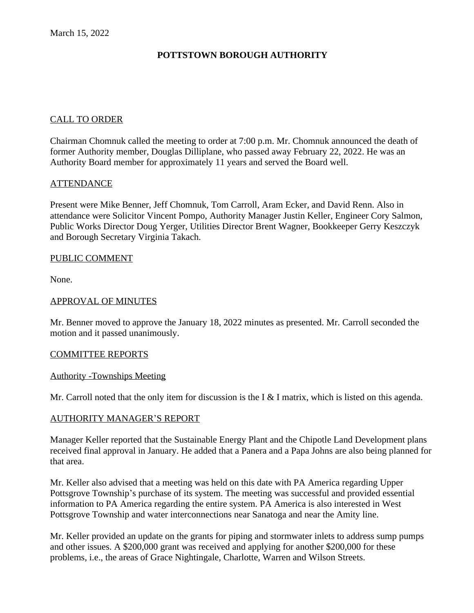# **POTTSTOWN BOROUGH AUTHORITY**

#### CALL TO ORDER

Chairman Chomnuk called the meeting to order at 7:00 p.m. Mr. Chomnuk announced the death of former Authority member, Douglas Dilliplane, who passed away February 22, 2022. He was an Authority Board member for approximately 11 years and served the Board well.

#### ATTENDANCE

Present were Mike Benner, Jeff Chomnuk, Tom Carroll, Aram Ecker, and David Renn. Also in attendance were Solicitor Vincent Pompo, Authority Manager Justin Keller, Engineer Cory Salmon, Public Works Director Doug Yerger, Utilities Director Brent Wagner, Bookkeeper Gerry Keszczyk and Borough Secretary Virginia Takach.

#### PUBLIC COMMENT

None.

#### APPROVAL OF MINUTES

Mr. Benner moved to approve the January 18, 2022 minutes as presented. Mr. Carroll seconded the motion and it passed unanimously.

#### COMMITTEE REPORTS

#### Authority -Townships Meeting

Mr. Carroll noted that the only item for discussion is the I  $&$  I matrix, which is listed on this agenda.

#### AUTHORITY MANAGER'S REPORT

Manager Keller reported that the Sustainable Energy Plant and the Chipotle Land Development plans received final approval in January. He added that a Panera and a Papa Johns are also being planned for that area.

Mr. Keller also advised that a meeting was held on this date with PA America regarding Upper Pottsgrove Township's purchase of its system. The meeting was successful and provided essential information to PA America regarding the entire system. PA America is also interested in West Pottsgrove Township and water interconnections near Sanatoga and near the Amity line.

Mr. Keller provided an update on the grants for piping and stormwater inlets to address sump pumps and other issues. A \$200,000 grant was received and applying for another \$200,000 for these problems, i.e., the areas of Grace Nightingale, Charlotte, Warren and Wilson Streets.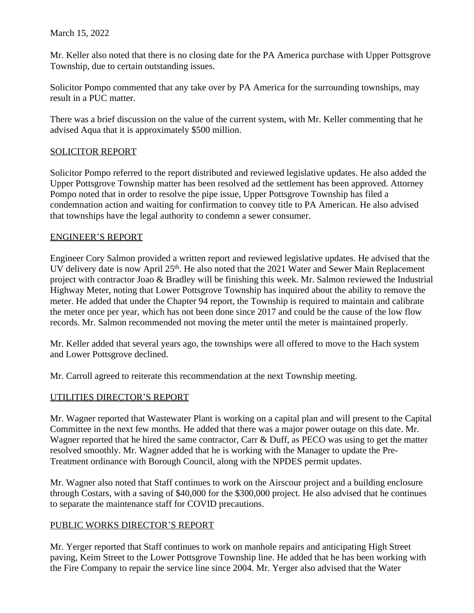Mr. Keller also noted that there is no closing date for the PA America purchase with Upper Pottsgrove Township, due to certain outstanding issues.

Solicitor Pompo commented that any take over by PA America for the surrounding townships, may result in a PUC matter.

There was a brief discussion on the value of the current system, with Mr. Keller commenting that he advised Aqua that it is approximately \$500 million.

### SOLICITOR REPORT

Solicitor Pompo referred to the report distributed and reviewed legislative updates. He also added the Upper Pottsgrove Township matter has been resolved ad the settlement has been approved. Attorney Pompo noted that in order to resolve the pipe issue, Upper Pottsgrove Township has filed a condemnation action and waiting for confirmation to convey title to PA American. He also advised that townships have the legal authority to condemn a sewer consumer.

#### ENGINEER'S REPORT

Engineer Cory Salmon provided a written report and reviewed legislative updates. He advised that the UV delivery date is now April 25<sup>th</sup>. He also noted that the 2021 Water and Sewer Main Replacement project with contractor Joao & Bradley will be finishing this week. Mr. Salmon reviewed the Industrial Highway Meter, noting that Lower Pottsgrove Township has inquired about the ability to remove the meter. He added that under the Chapter 94 report, the Township is required to maintain and calibrate the meter once per year, which has not been done since 2017 and could be the cause of the low flow records. Mr. Salmon recommended not moving the meter until the meter is maintained properly.

Mr. Keller added that several years ago, the townships were all offered to move to the Hach system and Lower Pottsgrove declined.

Mr. Carroll agreed to reiterate this recommendation at the next Township meeting.

### UTILITIES DIRECTOR'S REPORT

Mr. Wagner reported that Wastewater Plant is working on a capital plan and will present to the Capital Committee in the next few months. He added that there was a major power outage on this date. Mr. Wagner reported that he hired the same contractor, Carr & Duff, as PECO was using to get the matter resolved smoothly. Mr. Wagner added that he is working with the Manager to update the Pre-Treatment ordinance with Borough Council, along with the NPDES permit updates.

Mr. Wagner also noted that Staff continues to work on the Airscour project and a building enclosure through Costars, with a saving of \$40,000 for the \$300,000 project. He also advised that he continues to separate the maintenance staff for COVID precautions.

### PUBLIC WORKS DIRECTOR'S REPORT

Mr. Yerger reported that Staff continues to work on manhole repairs and anticipating High Street paving, Keim Street to the Lower Pottsgrove Township line. He added that he has been working with the Fire Company to repair the service line since 2004. Mr. Yerger also advised that the Water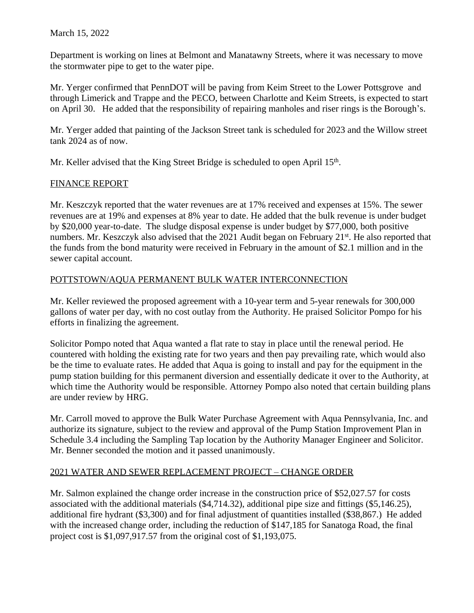Department is working on lines at Belmont and Manatawny Streets, where it was necessary to move the stormwater pipe to get to the water pipe.

Mr. Yerger confirmed that PennDOT will be paving from Keim Street to the Lower Pottsgrove and through Limerick and Trappe and the PECO, between Charlotte and Keim Streets, is expected to start on April 30. He added that the responsibility of repairing manholes and riser rings is the Borough's.

Mr. Yerger added that painting of the Jackson Street tank is scheduled for 2023 and the Willow street tank 2024 as of now.

Mr. Keller advised that the King Street Bridge is scheduled to open April 15<sup>th</sup>.

### FINANCE REPORT

Mr. Keszczyk reported that the water revenues are at 17% received and expenses at 15%. The sewer revenues are at 19% and expenses at 8% year to date. He added that the bulk revenue is under budget by \$20,000 year-to-date. The sludge disposal expense is under budget by \$77,000, both positive numbers. Mr. Keszczyk also advised that the 2021 Audit began on February 21<sup>st</sup>. He also reported that the funds from the bond maturity were received in February in the amount of \$2.1 million and in the sewer capital account.

# POTTSTOWN/AQUA PERMANENT BULK WATER INTERCONNECTION

Mr. Keller reviewed the proposed agreement with a 10-year term and 5-year renewals for 300,000 gallons of water per day, with no cost outlay from the Authority. He praised Solicitor Pompo for his efforts in finalizing the agreement.

Solicitor Pompo noted that Aqua wanted a flat rate to stay in place until the renewal period. He countered with holding the existing rate for two years and then pay prevailing rate, which would also be the time to evaluate rates. He added that Aqua is going to install and pay for the equipment in the pump station building for this permanent diversion and essentially dedicate it over to the Authority, at which time the Authority would be responsible. Attorney Pompo also noted that certain building plans are under review by HRG.

Mr. Carroll moved to approve the Bulk Water Purchase Agreement with Aqua Pennsylvania, Inc. and authorize its signature, subject to the review and approval of the Pump Station Improvement Plan in Schedule 3.4 including the Sampling Tap location by the Authority Manager Engineer and Solicitor. Mr. Benner seconded the motion and it passed unanimously.

### 2021 WATER AND SEWER REPLACEMENT PROJECT – CHANGE ORDER

Mr. Salmon explained the change order increase in the construction price of \$52,027.57 for costs associated with the additional materials (\$4,714.32), additional pipe size and fittings (\$5,146.25), additional fire hydrant (\$3,300) and for final adjustment of quantities installed (\$38,867.) He added with the increased change order, including the reduction of \$147,185 for Sanatoga Road, the final project cost is \$1,097,917.57 from the original cost of \$1,193,075.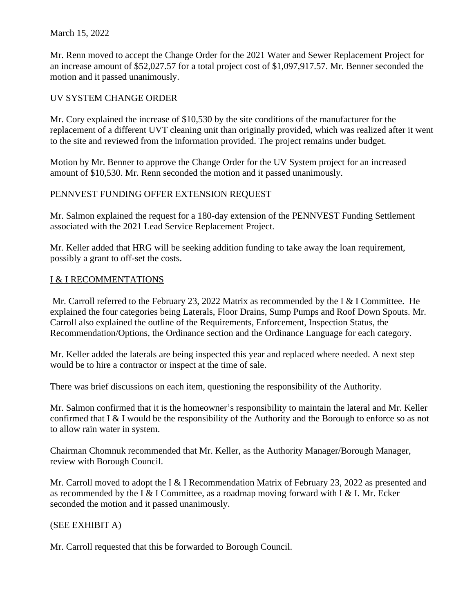#### March 15, 2022

Mr. Renn moved to accept the Change Order for the 2021 Water and Sewer Replacement Project for an increase amount of \$52,027.57 for a total project cost of \$1,097,917.57. Mr. Benner seconded the motion and it passed unanimously.

### UV SYSTEM CHANGE ORDER

Mr. Cory explained the increase of \$10,530 by the site conditions of the manufacturer for the replacement of a different UVT cleaning unit than originally provided, which was realized after it went to the site and reviewed from the information provided. The project remains under budget.

Motion by Mr. Benner to approve the Change Order for the UV System project for an increased amount of \$10,530. Mr. Renn seconded the motion and it passed unanimously.

### PENNVEST FUNDING OFFER EXTENSION REQUEST

Mr. Salmon explained the request for a 180-day extension of the PENNVEST Funding Settlement associated with the 2021 Lead Service Replacement Project.

Mr. Keller added that HRG will be seeking addition funding to take away the loan requirement, possibly a grant to off-set the costs.

### I & I RECOMMENTATIONS

 Mr. Carroll referred to the February 23, 2022 Matrix as recommended by the I & I Committee. He explained the four categories being Laterals, Floor Drains, Sump Pumps and Roof Down Spouts. Mr. Carroll also explained the outline of the Requirements, Enforcement, Inspection Status, the Recommendation/Options, the Ordinance section and the Ordinance Language for each category.

Mr. Keller added the laterals are being inspected this year and replaced where needed. A next step would be to hire a contractor or inspect at the time of sale.

There was brief discussions on each item, questioning the responsibility of the Authority.

Mr. Salmon confirmed that it is the homeowner's responsibility to maintain the lateral and Mr. Keller confirmed that I & I would be the responsibility of the Authority and the Borough to enforce so as not to allow rain water in system.

Chairman Chomnuk recommended that Mr. Keller, as the Authority Manager/Borough Manager, review with Borough Council.

Mr. Carroll moved to adopt the I & I Recommendation Matrix of February 23, 2022 as presented and as recommended by the I & I Committee, as a roadmap moving forward with I & I. Mr. Ecker seconded the motion and it passed unanimously.

### (SEE EXHIBIT A)

Mr. Carroll requested that this be forwarded to Borough Council.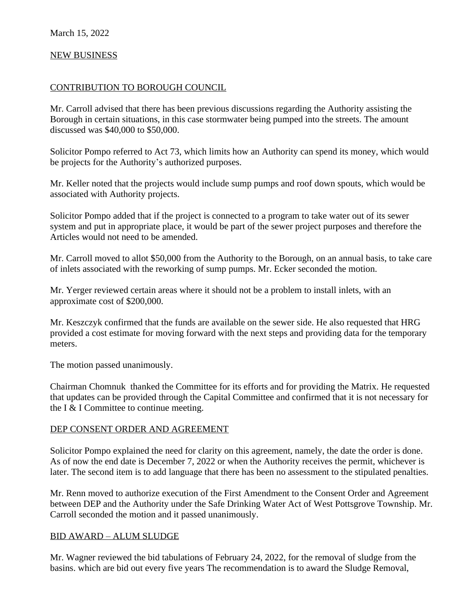### NEW BUSINESS

#### CONTRIBUTION TO BOROUGH COUNCIL

Mr. Carroll advised that there has been previous discussions regarding the Authority assisting the Borough in certain situations, in this case stormwater being pumped into the streets. The amount discussed was \$40,000 to \$50,000.

Solicitor Pompo referred to Act 73, which limits how an Authority can spend its money, which would be projects for the Authority's authorized purposes.

Mr. Keller noted that the projects would include sump pumps and roof down spouts, which would be associated with Authority projects.

Solicitor Pompo added that if the project is connected to a program to take water out of its sewer system and put in appropriate place, it would be part of the sewer project purposes and therefore the Articles would not need to be amended.

Mr. Carroll moved to allot \$50,000 from the Authority to the Borough, on an annual basis, to take care of inlets associated with the reworking of sump pumps. Mr. Ecker seconded the motion.

Mr. Yerger reviewed certain areas where it should not be a problem to install inlets, with an approximate cost of \$200,000.

Mr. Keszczyk confirmed that the funds are available on the sewer side. He also requested that HRG provided a cost estimate for moving forward with the next steps and providing data for the temporary meters.

The motion passed unanimously.

Chairman Chomnuk thanked the Committee for its efforts and for providing the Matrix. He requested that updates can be provided through the Capital Committee and confirmed that it is not necessary for the I & I Committee to continue meeting.

#### DEP CONSENT ORDER AND AGREEMENT

Solicitor Pompo explained the need for clarity on this agreement, namely, the date the order is done. As of now the end date is December 7, 2022 or when the Authority receives the permit, whichever is later. The second item is to add language that there has been no assessment to the stipulated penalties.

Mr. Renn moved to authorize execution of the First Amendment to the Consent Order and Agreement between DEP and the Authority under the Safe Drinking Water Act of West Pottsgrove Township. Mr. Carroll seconded the motion and it passed unanimously.

#### BID AWARD – ALUM SLUDGE

Mr. Wagner reviewed the bid tabulations of February 24, 2022, for the removal of sludge from the basins. which are bid out every five years The recommendation is to award the Sludge Removal,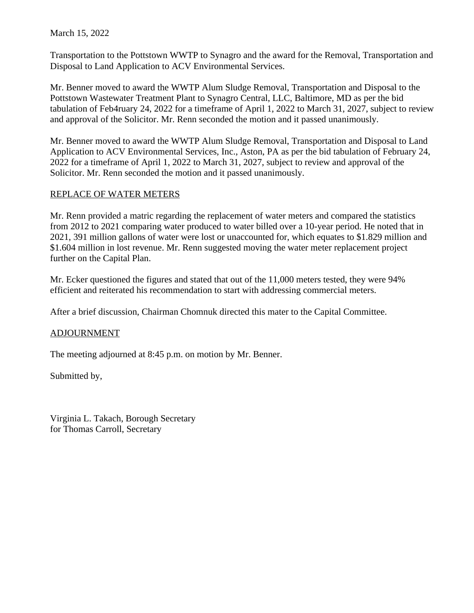March 15, 2022

Transportation to the Pottstown WWTP to Synagro and the award for the Removal, Transportation and Disposal to Land Application to ACV Environmental Services.

Mr. Benner moved to award the WWTP Alum Sludge Removal, Transportation and Disposal to the Pottstown Wastewater Treatment Plant to Synagro Central, LLC, Baltimore, MD as per the bid tabulation of Feb4ruary 24, 2022 for a timeframe of April 1, 2022 to March 31, 2027, subject to review and approval of the Solicitor. Mr. Renn seconded the motion and it passed unanimously.

Mr. Benner moved to award the WWTP Alum Sludge Removal, Transportation and Disposal to Land Application to ACV Environmental Services, Inc., Aston, PA as per the bid tabulation of February 24, 2022 for a timeframe of April 1, 2022 to March 31, 2027, subject to review and approval of the Solicitor. Mr. Renn seconded the motion and it passed unanimously.

#### REPLACE OF WATER METERS

Mr. Renn provided a matric regarding the replacement of water meters and compared the statistics from 2012 to 2021 comparing water produced to water billed over a 10-year period. He noted that in 2021, 391 million gallons of water were lost or unaccounted for, which equates to \$1.829 million and \$1.604 million in lost revenue. Mr. Renn suggested moving the water meter replacement project further on the Capital Plan.

Mr. Ecker questioned the figures and stated that out of the 11,000 meters tested, they were 94% efficient and reiterated his recommendation to start with addressing commercial meters.

After a brief discussion, Chairman Chomnuk directed this mater to the Capital Committee.

#### ADJOURNMENT

The meeting adjourned at 8:45 p.m. on motion by Mr. Benner.

Submitted by,

Virginia L. Takach, Borough Secretary for Thomas Carroll, Secretary